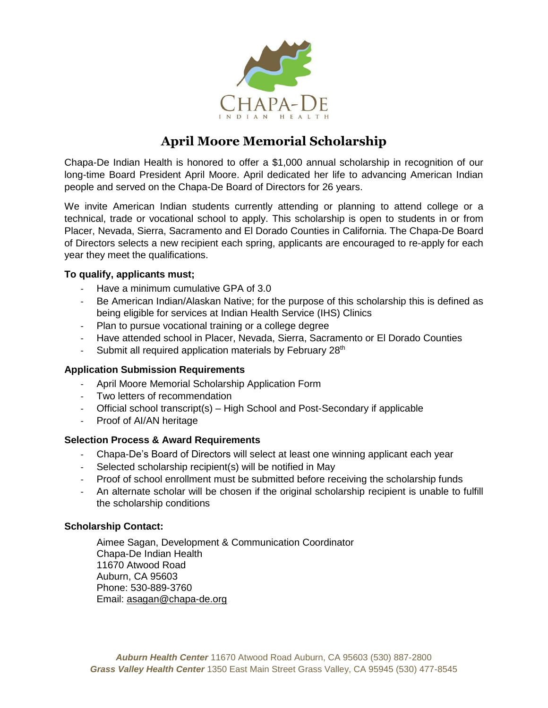

# **April Moore Memorial Scholarship**

Chapa-De Indian Health is honored to offer a \$1,000 annual scholarship in recognition of our long-time Board President April Moore. April dedicated her life to advancing American Indian people and served on the Chapa-De Board of Directors for 26 years.

We invite American Indian students currently attending or planning to attend college or a technical, trade or vocational school to apply. This scholarship is open to students in or from Placer, Nevada, Sierra, Sacramento and El Dorado Counties in California. The Chapa-De Board of Directors selects a new recipient each spring, applicants are encouraged to re-apply for each year they meet the qualifications.

### **To qualify, applicants must;**

- Have a minimum cumulative GPA of 3.0
- Be American Indian/Alaskan Native; for the purpose of this scholarship this is defined as being eligible for services at Indian Health Service (IHS) Clinics
- Plan to pursue vocational training or a college degree
- Have attended school in Placer, Nevada, Sierra, Sacramento or El Dorado Counties
- Submit all required application materials by February 28<sup>th</sup>

#### **Application Submission Requirements**

- April Moore Memorial Scholarship Application Form
- Two letters of recommendation
- Official school transcript(s) High School and Post-Secondary if applicable
- Proof of AI/AN heritage

#### **Selection Process & Award Requirements**

- Chapa-De's Board of Directors will select at least one winning applicant each year
- Selected scholarship recipient(s) will be notified in May
- Proof of school enrollment must be submitted before receiving the scholarship funds
- An alternate scholar will be chosen if the original scholarship recipient is unable to fulfill the scholarship conditions

#### **Scholarship Contact:**

Aimee Sagan, Development & Communication Coordinator Chapa-De Indian Health 11670 Atwood Road Auburn, CA 95603 Phone: 530-889-3760 Email: [asagan@chapa-de.org](mailto:asagan@chapa-de.org)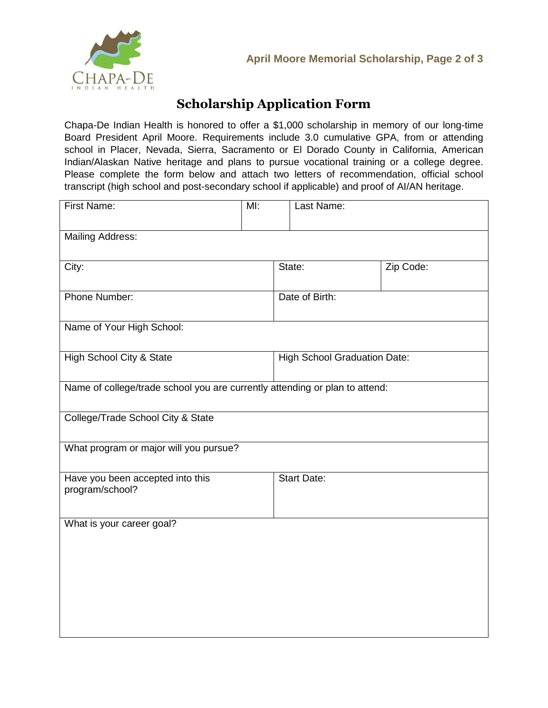



## **Scholarship Application Form**

Chapa-De Indian Health is honored to offer a \$1,000 scholarship in memory of our long-time Board President April Moore. Requirements include 3.0 cumulative GPA, from or attending school in Placer, Nevada, Sierra, Sacramento or El Dorado County in California, American Indian/Alaskan Native heritage and plans to pursue vocational training or a college degree. Please complete the form below and attach two letters of recommendation, official school transcript (high school and post-secondary school if applicable) and proof of AI/AN heritage.

| First Name:                                                                 | MI: | Last Name:                          |           |  |
|-----------------------------------------------------------------------------|-----|-------------------------------------|-----------|--|
| <b>Mailing Address:</b>                                                     |     |                                     |           |  |
| City:                                                                       |     | State:                              | Zip Code: |  |
| Phone Number:                                                               |     | Date of Birth:                      |           |  |
| Name of Your High School:                                                   |     |                                     |           |  |
| High School City & State                                                    |     | <b>High School Graduation Date:</b> |           |  |
| Name of college/trade school you are currently attending or plan to attend: |     |                                     |           |  |
| College/Trade School City & State                                           |     |                                     |           |  |
| What program or major will you pursue?                                      |     |                                     |           |  |
| Have you been accepted into this<br>program/school?                         |     | <b>Start Date:</b>                  |           |  |
| What is your career goal?                                                   |     |                                     |           |  |
|                                                                             |     |                                     |           |  |
|                                                                             |     |                                     |           |  |
|                                                                             |     |                                     |           |  |